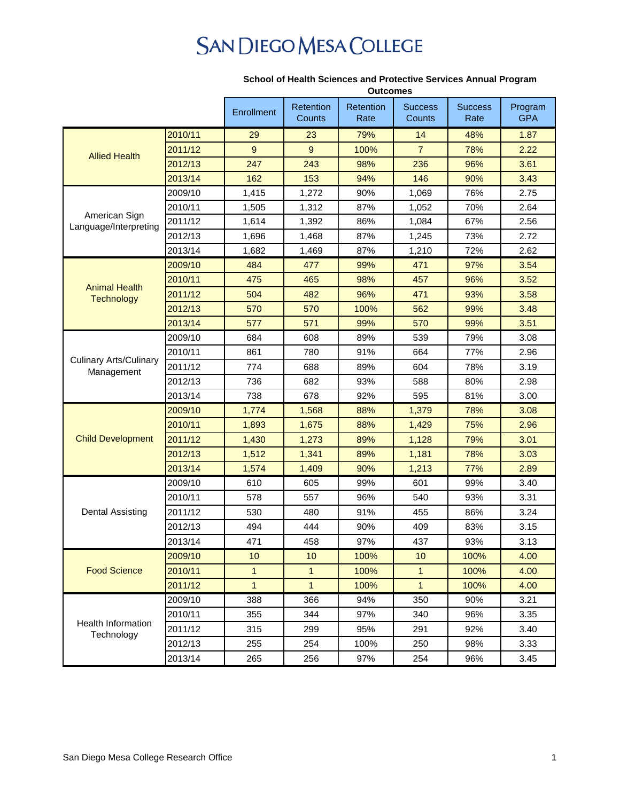## **SAN DIEGO MESA COLLEGE**

|                                             |         | outcomes          |                     |                   |                          |                        |                       |  |
|---------------------------------------------|---------|-------------------|---------------------|-------------------|--------------------------|------------------------|-----------------------|--|
|                                             |         | <b>Enrollment</b> | Retention<br>Counts | Retention<br>Rate | <b>Success</b><br>Counts | <b>Success</b><br>Rate | Program<br><b>GPA</b> |  |
| <b>Allied Health</b>                        | 2010/11 | 29                | 23                  | 79%               | 14                       | 48%                    | 1.87                  |  |
|                                             | 2011/12 | 9                 | 9                   | 100%              | $\overline{7}$           | 78%                    | 2.22                  |  |
|                                             | 2012/13 | 247               | 243                 | 98%               | 236                      | 96%                    | 3.61                  |  |
|                                             | 2013/14 | 162               | 153                 | 94%               | 146                      | 90%                    | 3.43                  |  |
| American Sign<br>Language/Interpreting      | 2009/10 | 1,415             | 1,272               | 90%               | 1,069                    | 76%                    | 2.75                  |  |
|                                             | 2010/11 | 1,505             | 1,312               | 87%               | 1,052                    | 70%                    | 2.64                  |  |
|                                             | 2011/12 | 1,614             | 1,392               | 86%               | 1,084                    | 67%                    | 2.56                  |  |
|                                             | 2012/13 | 1,696             | 1,468               | 87%               | 1,245                    | 73%                    | 2.72                  |  |
|                                             | 2013/14 | 1,682             | 1,469               | 87%               | 1,210                    | 72%                    | 2.62                  |  |
|                                             | 2009/10 | 484               | 477                 | 99%               | 471                      | 97%                    | 3.54                  |  |
|                                             | 2010/11 | 475               | 465                 | 98%               | 457                      | 96%                    | 3.52                  |  |
| <b>Animal Health</b><br><b>Technology</b>   | 2011/12 | 504               | 482                 | 96%               | 471                      | 93%                    | 3.58                  |  |
|                                             | 2012/13 | 570               | 570                 | 100%              | 562                      | 99%                    | 3.48                  |  |
|                                             | 2013/14 | 577               | 571                 | 99%               | 570                      | 99%                    | 3.51                  |  |
| <b>Culinary Arts/Culinary</b><br>Management | 2009/10 | 684               | 608                 | 89%               | 539                      | 79%                    | 3.08                  |  |
|                                             | 2010/11 | 861               | 780                 | 91%               | 664                      | 77%                    | 2.96                  |  |
|                                             | 2011/12 | 774               | 688                 | 89%               | 604                      | 78%                    | 3.19                  |  |
|                                             | 2012/13 | 736               | 682                 | 93%               | 588                      | 80%                    | 2.98                  |  |
|                                             | 2013/14 | 738               | 678                 | 92%               | 595                      | 81%                    | 3.00                  |  |
| <b>Child Development</b>                    | 2009/10 | 1,774             | 1,568               | 88%               | 1,379                    | 78%                    | 3.08                  |  |
|                                             | 2010/11 | 1,893             | 1,675               | 88%               | 1,429                    | 75%                    | 2.96                  |  |
|                                             | 2011/12 | 1,430             | 1,273               | 89%               | 1,128                    | 79%                    | 3.01                  |  |
|                                             | 2012/13 | 1,512             | 1,341               | 89%               | 1,181                    | 78%                    | 3.03                  |  |
|                                             | 2013/14 | 1,574             | 1,409               | 90%               | 1,213                    | 77%                    | 2.89                  |  |
| <b>Dental Assisting</b>                     | 2009/10 | 610               | 605                 | 99%               | 601                      | 99%                    | 3.40                  |  |
|                                             | 2010/11 | 578               | 557                 | 96%               | 540                      | 93%                    | 3.31                  |  |
|                                             | 2011/12 | 530               | 480                 | 91%               | 455                      | 86%                    | 3.24                  |  |
|                                             | 2012/13 | 494               | 444                 | 90%               | 409                      | 83%                    | 3.15                  |  |
|                                             | 2013/14 | 471               | 458                 | 97%               | 437                      | 93%                    | 3.13                  |  |
| <b>Food Science</b>                         | 2009/10 | 10                | 10                  | 100%              | 10                       | 100%                   | 4.00                  |  |
|                                             | 2010/11 | $\mathbf{1}$      | 1                   | 100%              | 1                        | 100%                   | 4.00                  |  |
|                                             | 2011/12 | $\mathbf{1}$      | $\mathbf{1}$        | 100%              | $\mathbf{1}$             | 100%                   | 4.00                  |  |
| <b>Health Information</b><br>Technology     | 2009/10 | 388               | 366                 | 94%               | 350                      | 90%                    | 3.21                  |  |
|                                             | 2010/11 | 355               | 344                 | 97%               | 340                      | 96%                    | 3.35                  |  |
|                                             | 2011/12 | 315               | 299                 | 95%               | 291                      | 92%                    | 3.40                  |  |
|                                             | 2012/13 | 255               | 254                 | 100%              | 250                      | 98%                    | 3.33                  |  |
|                                             | 2013/14 | 265               | 256                 | 97%               | 254                      | 96%                    | 3.45                  |  |

## **School of Health Sciences and Protective Services Annual Program Outcomes**